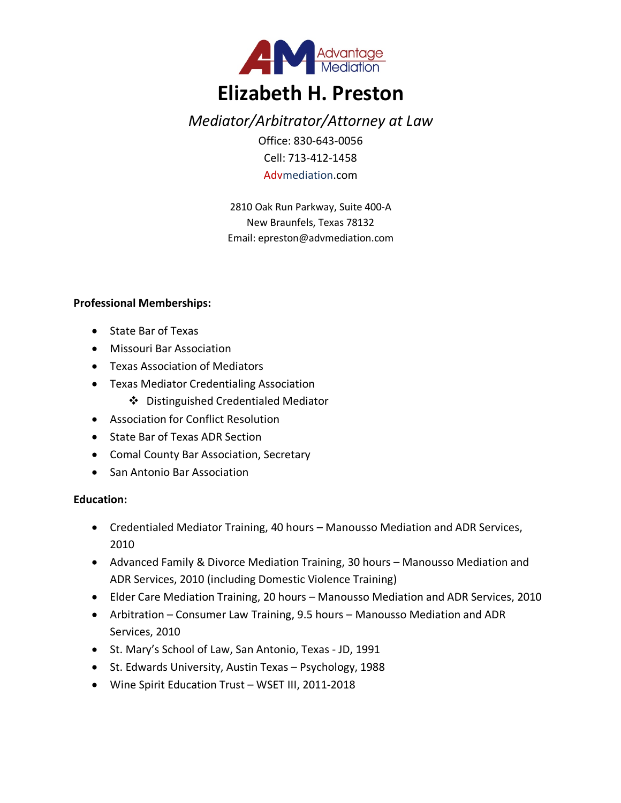

# *Mediator/Arbitrator/Attorney at Law*

Office: 830-643-0056 Cell: 713-412-1458 Advmediation.com

2810 Oak Run Parkway, Suite 400-A New Braunfels, Texas 78132 Email: epreston@advmediation.com

# **Professional Memberships:**

- State Bar of Texas
- Missouri Bar Association
- Texas Association of Mediators
- Texas Mediator Credentialing Association
	- v Distinguished Credentialed Mediator
- Association for Conflict Resolution
- State Bar of Texas ADR Section
- Comal County Bar Association, Secretary
- San Antonio Bar Association

# **Education:**

- Credentialed Mediator Training, 40 hours Manousso Mediation and ADR Services, 2010
- Advanced Family & Divorce Mediation Training, 30 hours Manousso Mediation and ADR Services, 2010 (including Domestic Violence Training)
- Elder Care Mediation Training, 20 hours Manousso Mediation and ADR Services, 2010
- Arbitration Consumer Law Training, 9.5 hours Manousso Mediation and ADR Services, 2010
- St. Mary's School of Law, San Antonio, Texas JD, 1991
- St. Edwards University, Austin Texas Psychology, 1988
- Wine Spirit Education Trust WSET III, 2011-2018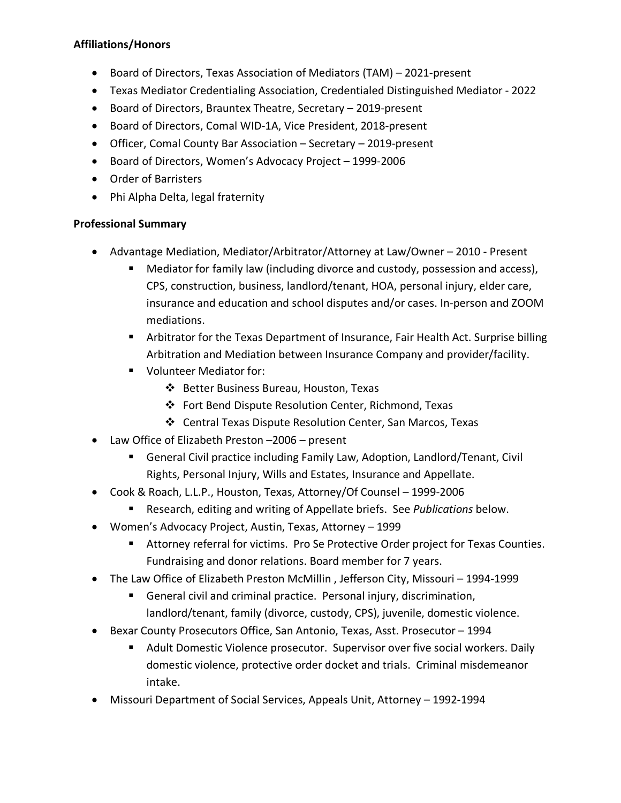# **Affiliations/Honors**

- Board of Directors, Texas Association of Mediators (TAM) 2021-present
- Texas Mediator Credentialing Association, Credentialed Distinguished Mediator 2022
- Board of Directors, Brauntex Theatre, Secretary 2019-present
- Board of Directors, Comal WID-1A, Vice President, 2018-present
- Officer, Comal County Bar Association Secretary 2019-present
- Board of Directors, Women's Advocacy Project 1999-2006
- Order of Barristers
- Phi Alpha Delta, legal fraternity

#### **Professional Summary**

- Advantage Mediation, Mediator/Arbitrator/Attorney at Law/Owner 2010 Present
	- Mediator for family law (including divorce and custody, possession and access), CPS, construction, business, landlord/tenant, HOA, personal injury, elder care, insurance and education and school disputes and/or cases. In-person and ZOOM mediations.
	- **Arbitrator for the Texas Department of Insurance, Fair Health Act. Surprise billing** Arbitration and Mediation between Insurance Company and provider/facility.
	- Volunteer Mediator for:
		- v Better Business Bureau, Houston, Texas
		- v Fort Bend Dispute Resolution Center, Richmond, Texas
		- v Central Texas Dispute Resolution Center, San Marcos, Texas
- Law Office of Elizabeth Preston –2006 present
	- General Civil practice including Family Law, Adoption, Landlord/Tenant, Civil Rights, Personal Injury, Wills and Estates, Insurance and Appellate.
- Cook & Roach, L.L.P., Houston, Texas, Attorney/Of Counsel 1999-2006
	- § Research, editing and writing of Appellate briefs. See *Publications* below.
- Women's Advocacy Project, Austin, Texas, Attorney 1999
	- Attorney referral for victims. Pro Se Protective Order project for Texas Counties. Fundraising and donor relations. Board member for 7 years.
- The Law Office of Elizabeth Preston McMillin , Jefferson City, Missouri 1994-1999
	- General civil and criminal practice. Personal injury, discrimination, landlord/tenant, family (divorce, custody, CPS), juvenile, domestic violence.
- Bexar County Prosecutors Office, San Antonio, Texas, Asst. Prosecutor 1994
	- Adult Domestic Violence prosecutor. Supervisor over five social workers. Daily domestic violence, protective order docket and trials. Criminal misdemeanor intake.
- Missouri Department of Social Services, Appeals Unit, Attorney 1992-1994